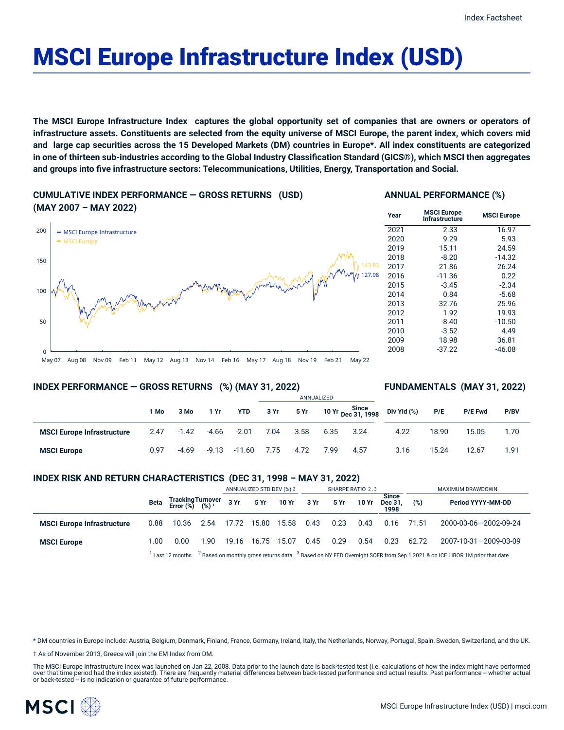# MSCI Europe Infrastructure Index (USD)

The MSCI Europe Infrastructure Index captures the global opportunity set of companies that are owners or operators of infrastructure assets. Constituents are selected from the equity universe of MSCI Europe, the parent index, which covers mid and large cap securities across the 15 Developed Markets (DM) countries in Europe\*. All index constituents are categorized in one of thirteen sub-industries according to the Global Industry Classification Standard (GICS®), which MSCI then aggregates **and groups into five infrastructure sectors: Telecommunications, Utilities, Energy, Transportation and Social.**

#### **CUMULATIVE INDEX PERFORMANCE — GROSS RETURNS (USD) (MAY 2007 – MAY 2022)**

## $\Omega$ 50 100 150 200 | - MSCI Europe Infrastructure MSCI Europe 143.83 127.98

#### **ANNUAL PERFORMANCE (%)**

| Year | <b>MSCI Europe</b><br>Infrastructure | <b>MSCI Europe</b> |
|------|--------------------------------------|--------------------|
| 2021 | 2.33                                 | 16.97              |
| 2020 | 9.29                                 | 5.93               |
| 2019 | 15.11                                | 24.59              |
| 2018 | $-8.20$                              | $-14.32$           |
| 2017 | 21.86                                | 26.24              |
| 2016 | $-11.36$                             | 0.22               |
| 2015 | $-3.45$                              | $-2.34$            |
| 2014 | 0.84                                 | $-5.68$            |
| 2013 | 32.76                                | 25.96              |
| 2012 | 1.92                                 | 19.93              |
| 2011 | $-8.40$                              | $-10.50$           |
| 2010 | $-3.52$                              | 4.49               |
| 2009 | 18.98                                | 36.81              |
| 2008 | $-37.22$                             | -46.08             |
|      |                                      |                    |

#### May 07 Aug 08 Nov 09 Feb 11 May 12 Aug 13 Nov 14 Feb 16 May 17 Aug 18 Nov 19 Feb 21 May 22

#### **INDEX PERFORMANCE — GROSS RETURNS (%) (MAY 31, 2022)**

#### **FUNDAMENTALS (MAY 31, 2022)**

|                                   |      |         |         |            | ANNUALIZED |      |      |                                    |             |       |         |      |
|-----------------------------------|------|---------|---------|------------|------------|------|------|------------------------------------|-------------|-------|---------|------|
|                                   | 1 Mo | 3 Mo    | 1 Yr    | <b>YTD</b> | 3 Yr       | 5 Yr |      | 10 Yr Since<br>1998 - Dec 31, 1998 | Div Yld (%) | P/E   | P/E Fwd | P/BV |
| <b>MSCI Europe Infrastructure</b> | 2.47 | -1.42   | -4.66   | $-2.01$    | 7.04       | 3.58 | 6.35 | 3.24                               | 4.22        | 18.90 | 15.05   | 1.70 |
| <b>MSCI Europe</b>                | 0.97 | $-4.69$ | $-9.13$ | -11.60     | 7.75       | 4.72 | 7.99 | 4.57                               | 3.16        | 15.24 | 12.67   | 1.91 |

#### **INDEX RISK AND RETURN CHARACTERISTICS (DEC 31, 1998 – MAY 31, 2022)**

|                                   |      |                                                 |                                                                                                                                       | ANNUALIZED STD DEV (%) 2 |             | SHARPE RATIO 2,3     |      |      |       | MAXIMUM DRAWDOWN                |       |                       |
|-----------------------------------|------|-------------------------------------------------|---------------------------------------------------------------------------------------------------------------------------------------|--------------------------|-------------|----------------------|------|------|-------|---------------------------------|-------|-----------------------|
|                                   | Beta | Tracking Turnover<br>Error (%) (%) <sup>1</sup> |                                                                                                                                       | 3Yr                      |             | 5 Yr 10 Yr 3 Yr 5 Yr |      |      | 10 Yr | <b>Since</b><br>Dec 31.<br>1998 | (%)   | Period YYYY-MM-DD     |
| <b>MSCI Europe Infrastructure</b> | 0.88 | 10.36                                           | 2.54                                                                                                                                  | 17.72                    | 15.80       | 15.58                | 0.43 | 0.23 | 0.43  | 0.16                            | 71.51 | 2000-03-06-2002-09-24 |
| <b>MSCI Europe</b>                | 1.00 | 0.00                                            | 1.90                                                                                                                                  | 19.16                    | 16.75 15.07 |                      | 0.45 | 0.29 | 0.54  | 0.23                            | 62.72 | 2007-10-31-2009-03-09 |
|                                   |      | $^{\prime}$ Last 12 months                      | <sup>2</sup> Based on monthly gross returns data $3$ Based on NY FED Overnight SOFR from Sep 1 2021 & on ICE LIBOR 1M prior that date |                          |             |                      |      |      |       |                                 |       |                       |

\* DM countries in Europe include: Austria, Belgium, Denmark, Finland, France, Germany, Ireland, Italy, the Netherlands, Norway, Portugal, Spain, Sweden, Switzerland, and the UK.

† As of November 2013, Greece will join the EM Index from DM.

The MSCI Europe Infrastructure Index was launched on Jan 22, 2008. Data prior to the launch date is back-tested test (i.e. calculations of how the index might have performed over that time period had the index existed). There are frequently material differences between back-tested performance and actual results. Past performance -- whether actual or back-tested -- is no indication or guarantee of future performance.

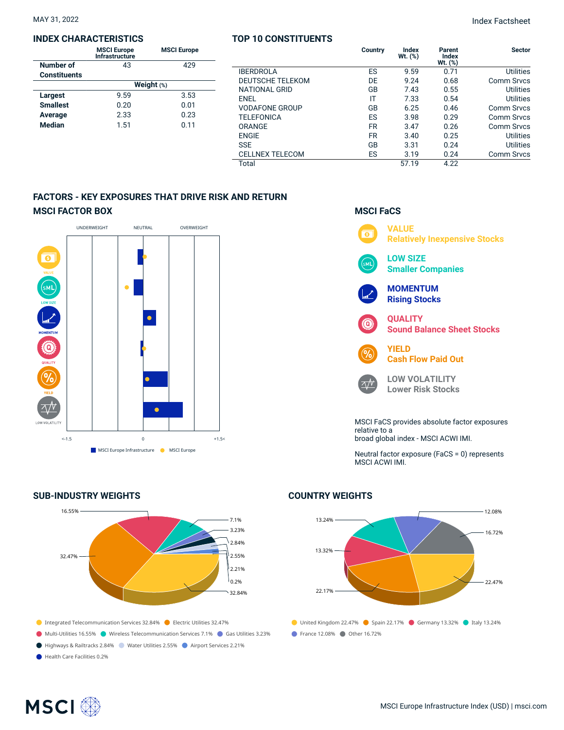#### **INDEX CHARACTERISTICS**

|                     | <b>MSCI Europe</b><br>Infrastructure | <b>MSCI Europe</b> |  |  |  |  |
|---------------------|--------------------------------------|--------------------|--|--|--|--|
| Number of           | 43                                   | 429                |  |  |  |  |
| <b>Constituents</b> |                                      |                    |  |  |  |  |
|                     | Weight $(*)$                         |                    |  |  |  |  |
| Largest             | 9.59                                 | 3.53               |  |  |  |  |
| <b>Smallest</b>     | 0.20                                 | 0.01               |  |  |  |  |
| Average             | 2.33                                 | 0.23               |  |  |  |  |
| <b>Median</b>       | 1.51                                 | 0.11               |  |  |  |  |
|                     |                                      |                    |  |  |  |  |

#### **TOP 10 CONSTITUENTS**

|                         | Country   | Index<br>Wt. (%) | Parent<br><b>Index</b><br>$Wt.$ $(\%)$ | <b>Sector</b>    |
|-------------------------|-----------|------------------|----------------------------------------|------------------|
| <b>IBERDROLA</b>        | ES        | 9.59             | 0.71                                   | <b>Utilities</b> |
| <b>DEUTSCHE TELEKOM</b> | DE        | 9.24             | 0.68                                   | Comm Srvcs       |
| NATIONAL GRID           | GB        | 7.43             | 0.55                                   | <b>Utilities</b> |
| <b>ENEL</b>             | IT        | 7.33             | 0.54                                   | Utilities        |
| <b>VODAFONE GROUP</b>   | GB        | 6.25             | 0.46                                   | Comm Srvcs       |
| <b>TELEFONICA</b>       | ES        | 3.98             | 0.29                                   | Comm Srvcs       |
| <b>ORANGE</b>           | <b>FR</b> | 3.47             | 0.26                                   | Comm Srvcs       |
| <b>ENGIE</b>            | <b>FR</b> | 3.40             | 0.25                                   | Utilities        |
| <b>SSE</b>              | GB        | 3.31             | 0.24                                   | Utilities        |
| <b>CELLNEX TELECOM</b>  | ES        | 3.19             | 0.24                                   | Comm Srvcs       |
| Total                   |           | 57.19            | 4.22                                   |                  |

**MSCI FaCS**

 $\wedge N$ 

### **FACTORS - KEY EXPOSURES THAT DRIVE RISK AND RETURN MSCI FACTOR BOX**



#### **SUB-INDUSTRY WEIGHTS**



- Integrated Telecommunication Services 32.84% Electric Utilities 32.47%
- Multi-Utilities 16.55% Wireless Telecommunication Services 7.1% Gas Utilities 3.23%
- Highways & Railtracks 2.84% Water Utilities 2.55% Airport Services 2.21%
- Health Care Facilities 0.2%

**VALUE**  $\overline{\bullet}$ **Relatively Inexpensive Stocks LOW SIZE Smaller Companies MOMENTUM Rising Stocks QUALITY Sound Balance Sheet Stocks YIELD Cash Flow Paid Out**

**LOW VOLATILITY Lower Risk Stocks**

MSCI FaCS provides absolute factor exposures relative to a broad global index - MSCI ACWI IMI.

Neutral factor exposure (FaCS = 0) represents MSCI ACWI IMI.

## $\bullet$  United Kingdom 22.47%  $\bullet$  Spain 22.17%  $\bullet$  Germany 13.32%  $\bullet$  Italy 13.24% ● France 12.08% ● Other 16.72% 13.24% 13.32% 22.17%  $-12.08%$ 16.72% 22.47%

#### **COUNTRY WEIGHTS**